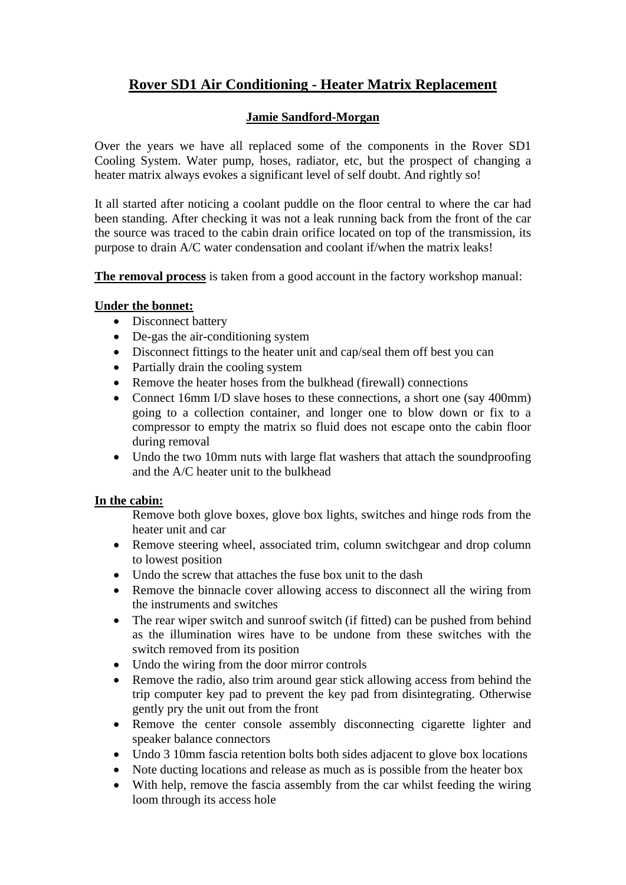# **Rover SD1 Air Conditioning - Heater Matrix Replacement**

## **Jamie Sandford-Morgan**

Over the years we have all replaced some of the components in the Rover SD1 Cooling System. Water pump, hoses, radiator, etc, but the prospect of changing a heater matrix always evokes a significant level of self doubt. And rightly so!

It all started after noticing a coolant puddle on the floor central to where the car had been standing. After checking it was not a leak running back from the front of the car the source was traced to the cabin drain orifice located on top of the transmission, its purpose to drain A/C water condensation and coolant if/when the matrix leaks!

**The removal process** is taken from a good account in the factory workshop manual:

### **Under the bonnet:**

- Disconnect battery
- De-gas the air-conditioning system
- Disconnect fittings to the heater unit and cap/seal them off best you can
- Partially drain the cooling system
- Remove the heater hoses from the bulkhead (firewall) connections
- Connect 16mm I/D slave hoses to these connections, a short one (say 400mm) going to a collection container, and longer one to blow down or fix to a compressor to empty the matrix so fluid does not escape onto the cabin floor during removal
- Undo the two 10mm nuts with large flat washers that attach the soundproofing and the A/C heater unit to the bulkhead

### **In the cabin:**

Remove both glove boxes, glove box lights, switches and hinge rods from the heater unit and car

- Remove steering wheel, associated trim, column switchgear and drop column to lowest position
- Undo the screw that attaches the fuse box unit to the dash
- Remove the binnacle cover allowing access to disconnect all the wiring from the instruments and switches
- The rear wiper switch and sunroof switch (if fitted) can be pushed from behind as the illumination wires have to be undone from these switches with the switch removed from its position
- Undo the wiring from the door mirror controls
- Remove the radio, also trim around gear stick allowing access from behind the trip computer key pad to prevent the key pad from disintegrating. Otherwise gently pry the unit out from the front
- Remove the center console assembly disconnecting cigarette lighter and speaker balance connectors
- Undo 3 10mm fascia retention bolts both sides adjacent to glove box locations
- Note ducting locations and release as much as is possible from the heater box
- With help, remove the fascia assembly from the car whilst feeding the wiring loom through its access hole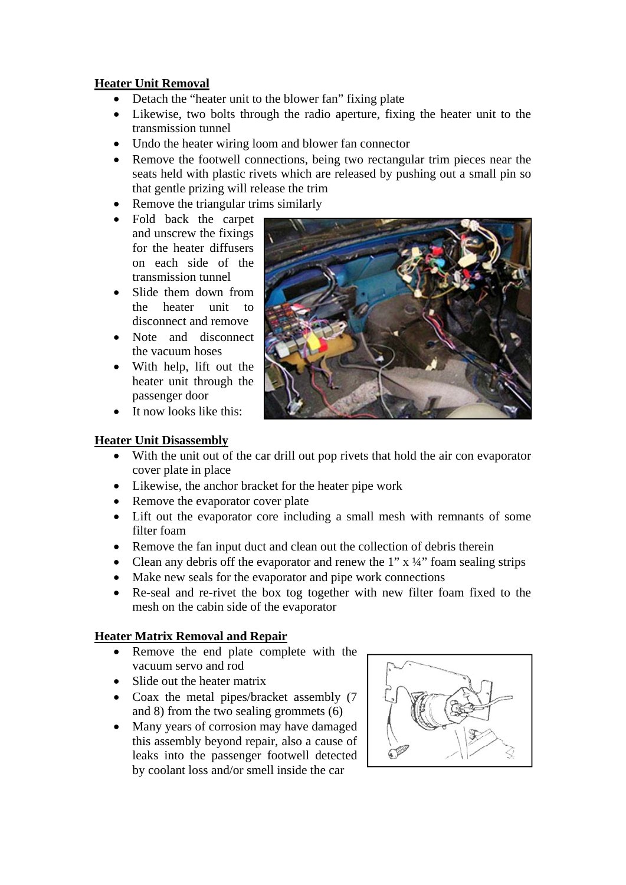### **Heater Unit Removal**

- Detach the "heater unit to the blower fan" fixing plate
- Likewise, two bolts through the radio aperture, fixing the heater unit to the transmission tunnel
- Undo the heater wiring loom and blower fan connector
- Remove the footwell connections, being two rectangular trim pieces near the seats held with plastic rivets which are released by pushing out a small pin so that gentle prizing will release the trim
- Remove the triangular trims similarly
- Fold back the carpet and unscrew the fixings for the heater diffusers on each side of the transmission tunnel
- Slide them down from the heater unit to disconnect and remove
- Note and disconnect the vacuum hoses
- With help, lift out the heater unit through the passenger door
- It now looks like this:



#### **Heater Unit Disassembly**

- With the unit out of the car drill out pop rivets that hold the air con evaporator cover plate in place
- Likewise, the anchor bracket for the heater pipe work
- Remove the evaporator cover plate
- Lift out the evaporator core including a small mesh with remnants of some filter foam
- Remove the fan input duct and clean out the collection of debris therein
- Clean any debris off the evaporator and renew the 1"  $x \frac{1}{4}$ " foam sealing strips
- Make new seals for the evaporator and pipe work connections
- Re-seal and re-rivet the box tog together with new filter foam fixed to the mesh on the cabin side of the evaporator

### **Heater Matrix Removal and Repair**

- Remove the end plate complete with the vacuum servo and rod
- Slide out the heater matrix
- Coax the metal pipes/bracket assembly (7) and 8) from the two sealing grommets (6)
- Many years of corrosion may have damaged this assembly beyond repair, also a cause of leaks into the passenger footwell detected by coolant loss and/or smell inside the car